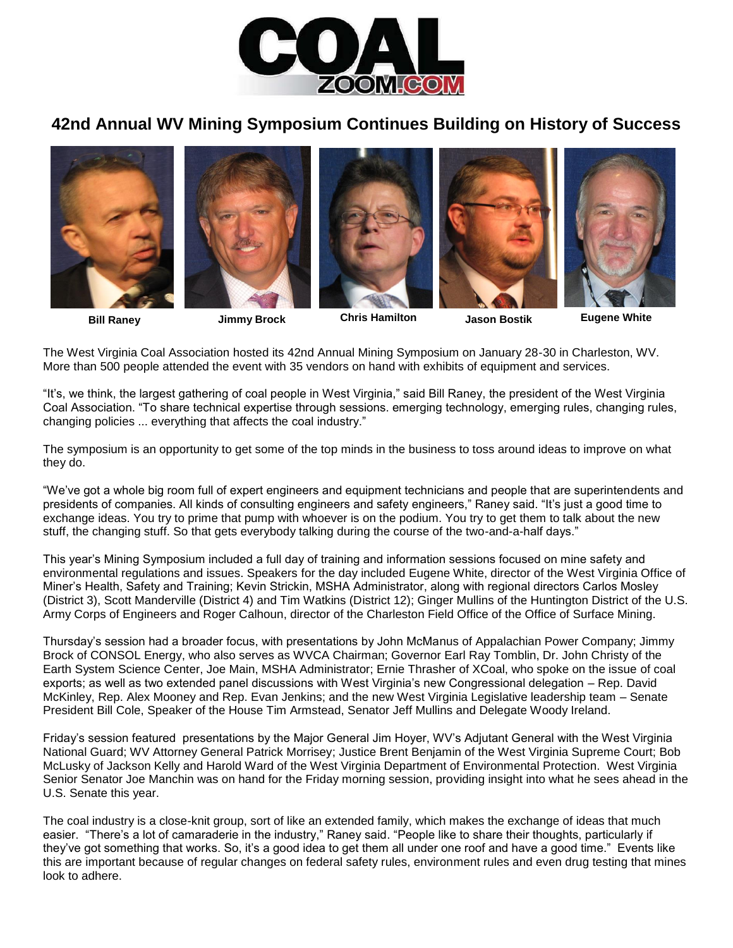

# **42nd Annual WV Mining Symposium Continues Building on History of Success**



**Bill Raney Jimmy Brock Chris Hamilton Jason Bostik Eugene White**

The West Virginia Coal Association hosted its 42nd Annual Mining Symposium on January 28-30 in Charleston, WV. More than 500 people attended the event with 35 vendors on hand with exhibits of equipment and services.

"It's, we think, the largest gathering of coal people in West Virginia," said Bill Raney, the president of the West Virginia Coal Association. "To share technical expertise through sessions. emerging technology, emerging rules, changing rules, changing policies ... everything that affects the coal industry."

The symposium is an opportunity to get some of the top minds in the business to toss around ideas to improve on what they do.

"We've got a whole big room full of expert engineers and equipment technicians and people that are superintendents and presidents of companies. All kinds of consulting engineers and safety engineers," Raney said. "It's just a good time to exchange ideas. You try to prime that pump with whoever is on the podium. You try to get them to talk about the new stuff, the changing stuff. So that gets everybody talking during the course of the two-and-a-half days."

This year's Mining Symposium included a full day of training and information sessions focused on mine safety and environmental regulations and issues. Speakers for the day included Eugene White, director of the West Virginia Office of Miner's Health, Safety and Training; Kevin Strickin, MSHA Administrator, along with regional directors Carlos Mosley (District 3), Scott Manderville (District 4) and Tim Watkins (District 12); Ginger Mullins of the Huntington District of the U.S. Army Corps of Engineers and Roger Calhoun, director of the Charleston Field Office of the Office of Surface Mining.

Thursday's session had a broader focus, with presentations by John McManus of Appalachian Power Company; Jimmy Brock of CONSOL Energy, who also serves as WVCA Chairman; Governor Earl Ray Tomblin, Dr. John Christy of the Earth System Science Center, Joe Main, MSHA Administrator; Ernie Thrasher of XCoal, who spoke on the issue of coal exports; as well as two extended panel discussions with West Virginia's new Congressional delegation – Rep. David McKinley, Rep. Alex Mooney and Rep. Evan Jenkins; and the new West Virginia Legislative leadership team – Senate President Bill Cole, Speaker of the House Tim Armstead, Senator Jeff Mullins and Delegate Woody Ireland.

Friday's session featured presentations by the Major General Jim Hoyer, WV's Adjutant General with the West Virginia National Guard; WV Attorney General Patrick Morrisey; Justice Brent Benjamin of the West Virginia Supreme Court; Bob McLusky of Jackson Kelly and Harold Ward of the West Virginia Department of Environmental Protection. West Virginia Senior Senator Joe Manchin was on hand for the Friday morning session, providing insight into what he sees ahead in the U.S. Senate this year.

The coal industry is a close-knit group, sort of like an extended family, which makes the exchange of ideas that much easier. "There's a lot of camaraderie in the industry," Raney said. "People like to share their thoughts, particularly if they've got something that works. So, it's a good idea to get them all under one roof and have a good time." Events like this are important because of regular changes on federal safety rules, environment rules and even drug testing that mines look to adhere.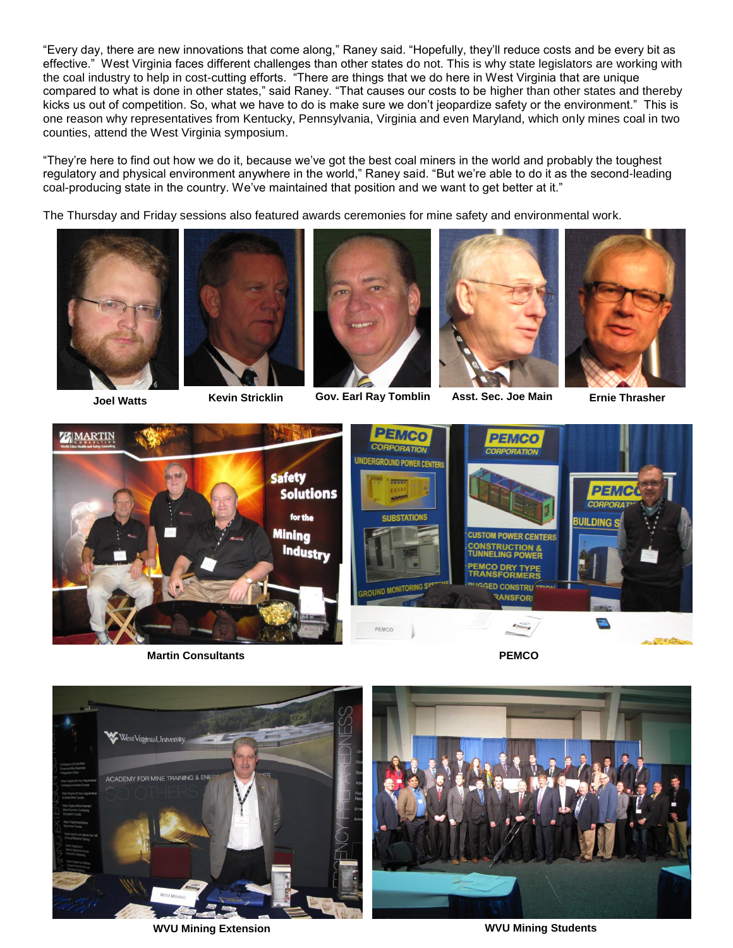"Every day, there are new innovations that come along," Raney said. "Hopefully, they'll reduce costs and be every bit as effective." West Virginia faces different challenges than other states do not. This is why state legislators are working with the coal industry to help in cost-cutting efforts. "There are things that we do here in West Virginia that are unique compared to what is done in other states," said Raney. "That causes our costs to be higher than other states and thereby kicks us out of competition. So, what we have to do is make sure we don't jeopardize safety or the environment." This is one reason why representatives from Kentucky, Pennsylvania, Virginia and even Maryland, which only mines coal in two counties, attend the West Virginia symposium.

"They're here to find out how we do it, because we've got the best coal miners in the world and probably the toughest regulatory and physical environment anywhere in the world," Raney said. "But we're able to do it as the second-leading coal-producing state in the country. We've maintained that position and we want to get better at it."

The Thursday and Friday sessions also featured awards ceremonies for mine safety and environmental work.







**Asst. Sec. Joe Main Joel Watts Kevin Stricklin Gov. Earl Ray Tomblin Ernie Thrasher**









**Martin Consultants PEMCO**



**WVU Mining Extension WVU Mining Students**

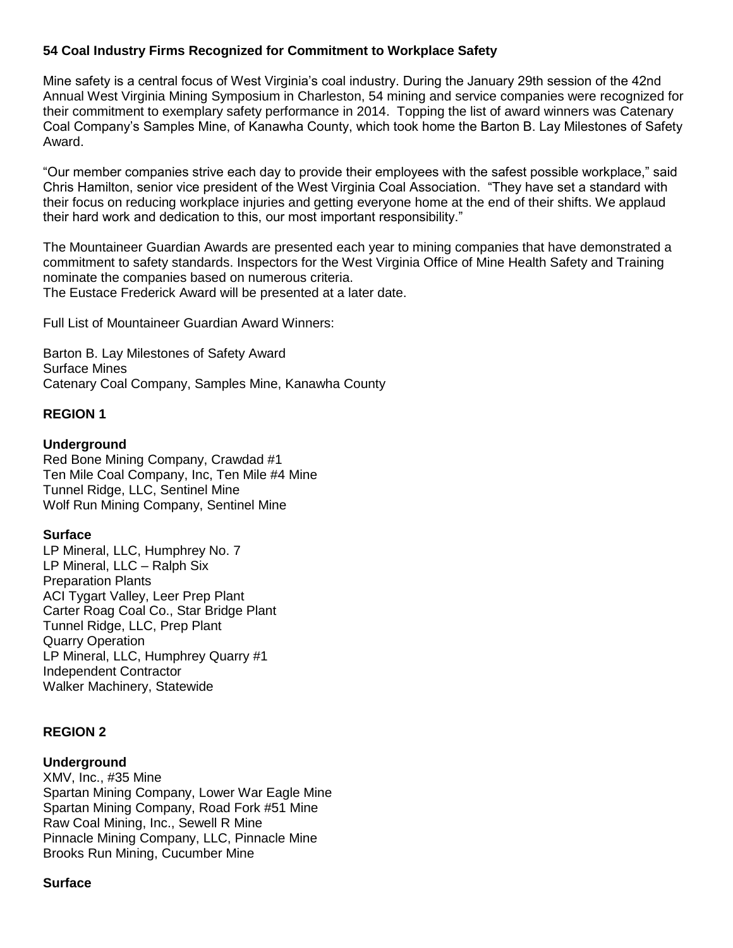# **54 Coal Industry Firms Recognized for Commitment to Workplace Safety**

Mine safety is a central focus of West Virginia's coal industry. During the January 29th session of the 42nd Annual West Virginia Mining Symposium in Charleston, 54 mining and service companies were recognized for their commitment to exemplary safety performance in 2014. Topping the list of award winners was Catenary Coal Company's Samples Mine, of Kanawha County, which took home the Barton B. Lay Milestones of Safety Award.

"Our member companies strive each day to provide their employees with the safest possible workplace," said Chris Hamilton, senior vice president of the West Virginia Coal Association. "They have set a standard with their focus on reducing workplace injuries and getting everyone home at the end of their shifts. We applaud their hard work and dedication to this, our most important responsibility."

The Mountaineer Guardian Awards are presented each year to mining companies that have demonstrated a commitment to safety standards. Inspectors for the West Virginia Office of Mine Health Safety and Training nominate the companies based on numerous criteria. The Eustace Frederick Award will be presented at a later date.

Full List of Mountaineer Guardian Award Winners:

Barton B. Lay Milestones of Safety Award Surface Mines Catenary Coal Company, Samples Mine, Kanawha County

### **REGION 1**

### **Underground**

Red Bone Mining Company, Crawdad #1 Ten Mile Coal Company, Inc, Ten Mile #4 Mine Tunnel Ridge, LLC, Sentinel Mine Wolf Run Mining Company, Sentinel Mine

#### **Surface**

LP Mineral, LLC, Humphrey No. 7 LP Mineral, LLC – Ralph Six Preparation Plants ACI Tygart Valley, Leer Prep Plant Carter Roag Coal Co., Star Bridge Plant Tunnel Ridge, LLC, Prep Plant Quarry Operation LP Mineral, LLC, Humphrey Quarry #1 Independent Contractor Walker Machinery, Statewide

### **REGION 2**

#### **Underground**

XMV, Inc., #35 Mine Spartan Mining Company, Lower War Eagle Mine Spartan Mining Company, Road Fork #51 Mine Raw Coal Mining, Inc., Sewell R Mine Pinnacle Mining Company, LLC, Pinnacle Mine Brooks Run Mining, Cucumber Mine

#### **Surface**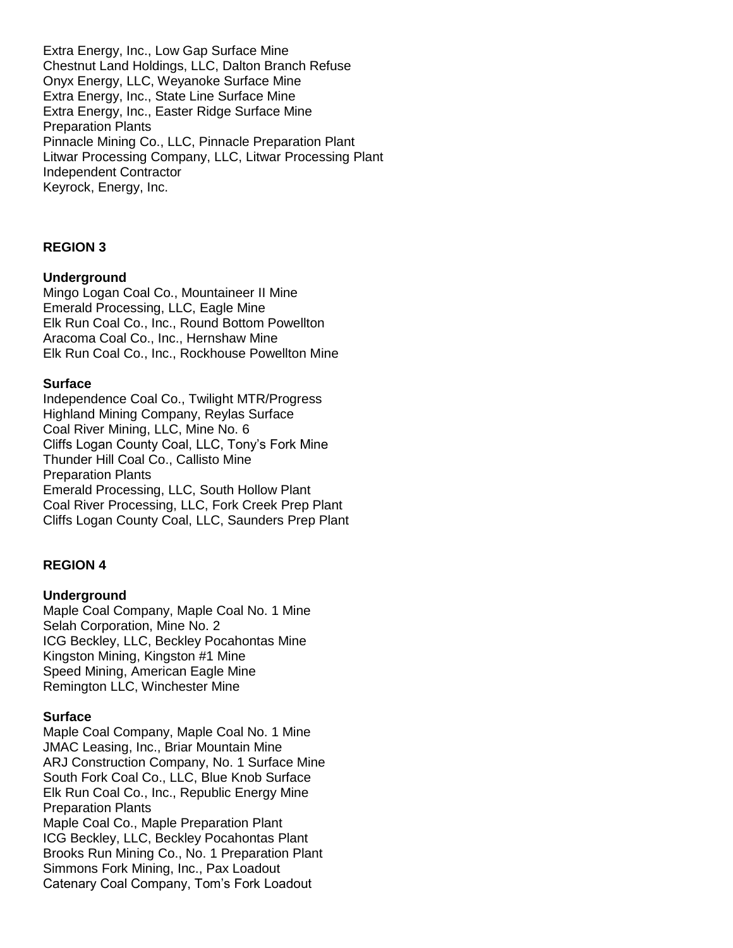Extra Energy, Inc., Low Gap Surface Mine Chestnut Land Holdings, LLC, Dalton Branch Refuse Onyx Energy, LLC, Weyanoke Surface Mine Extra Energy, Inc., State Line Surface Mine Extra Energy, Inc., Easter Ridge Surface Mine Preparation Plants Pinnacle Mining Co., LLC, Pinnacle Preparation Plant Litwar Processing Company, LLC, Litwar Processing Plant Independent Contractor Keyrock, Energy, Inc.

### **REGION 3**

### **Underground**

Mingo Logan Coal Co., Mountaineer II Mine Emerald Processing, LLC, Eagle Mine Elk Run Coal Co., Inc., Round Bottom Powellton Aracoma Coal Co., Inc., Hernshaw Mine Elk Run Coal Co., Inc., Rockhouse Powellton Mine

### **Surface**

Independence Coal Co., Twilight MTR/Progress Highland Mining Company, Reylas Surface Coal River Mining, LLC, Mine No. 6 Cliffs Logan County Coal, LLC, Tony's Fork Mine Thunder Hill Coal Co., Callisto Mine Preparation Plants Emerald Processing, LLC, South Hollow Plant Coal River Processing, LLC, Fork Creek Prep Plant Cliffs Logan County Coal, LLC, Saunders Prep Plant

### **REGION 4**

#### **Underground**

Maple Coal Company, Maple Coal No. 1 Mine Selah Corporation, Mine No. 2 ICG Beckley, LLC, Beckley Pocahontas Mine Kingston Mining, Kingston #1 Mine Speed Mining, American Eagle Mine Remington LLC, Winchester Mine

#### **Surface**

Maple Coal Company, Maple Coal No. 1 Mine JMAC Leasing, Inc., Briar Mountain Mine ARJ Construction Company, No. 1 Surface Mine South Fork Coal Co., LLC, Blue Knob Surface Elk Run Coal Co., Inc., Republic Energy Mine Preparation Plants Maple Coal Co., Maple Preparation Plant ICG Beckley, LLC, Beckley Pocahontas Plant

Brooks Run Mining Co., No. 1 Preparation Plant Simmons Fork Mining, Inc., Pax Loadout Catenary Coal Company, Tom's Fork Loadout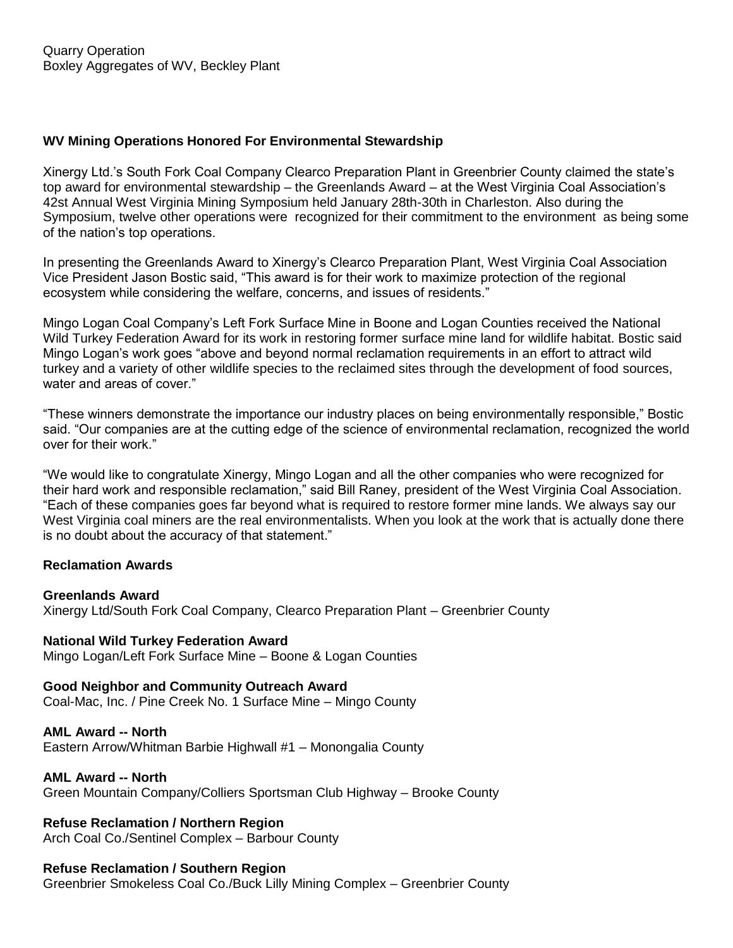# **WV Mining Operations Honored For Environmental Stewardship**

Xinergy Ltd.'s South Fork Coal Company Clearco Preparation Plant in Greenbrier County claimed the state's top award for environmental stewardship – the Greenlands Award – at the West Virginia Coal Association's 42st Annual West Virginia Mining Symposium held January 28th-30th in Charleston. Also during the Symposium, twelve other operations were recognized for their commitment to the environment as being some of the nation's top operations.

In presenting the Greenlands Award to Xinergy's Clearco Preparation Plant, West Virginia Coal Association Vice President Jason Bostic said, "This award is for their work to maximize protection of the regional ecosystem while considering the welfare, concerns, and issues of residents."

Mingo Logan Coal Company's Left Fork Surface Mine in Boone and Logan Counties received the National Wild Turkey Federation Award for its work in restoring former surface mine land for wildlife habitat. Bostic said Mingo Logan's work goes "above and beyond normal reclamation requirements in an effort to attract wild turkey and a variety of other wildlife species to the reclaimed sites through the development of food sources, water and areas of cover."

"These winners demonstrate the importance our industry places on being environmentally responsible," Bostic said. "Our companies are at the cutting edge of the science of environmental reclamation, recognized the world over for their work."

"We would like to congratulate Xinergy, Mingo Logan and all the other companies who were recognized for their hard work and responsible reclamation," said Bill Raney, president of the West Virginia Coal Association. "Each of these companies goes far beyond what is required to restore former mine lands. We always say our West Virginia coal miners are the real environmentalists. When you look at the work that is actually done there is no doubt about the accuracy of that statement."

### **Reclamation Awards**

### **Greenlands Award**

Xinergy Ltd/South Fork Coal Company, Clearco Preparation Plant – Greenbrier County

### **National Wild Turkey Federation Award**

Mingo Logan/Left Fork Surface Mine – Boone & Logan Counties

### **Good Neighbor and Community Outreach Award**

Coal-Mac, Inc. / Pine Creek No. 1 Surface Mine – Mingo County

# **AML Award -- North**

Eastern Arrow/Whitman Barbie Highwall #1 – Monongalia County

### **AML Award -- North**

Green Mountain Company/Colliers Sportsman Club Highway – Brooke County

# **Refuse Reclamation / Northern Region**

Arch Coal Co./Sentinel Complex – Barbour County

### **Refuse Reclamation / Southern Region**

Greenbrier Smokeless Coal Co./Buck Lilly Mining Complex – Greenbrier County